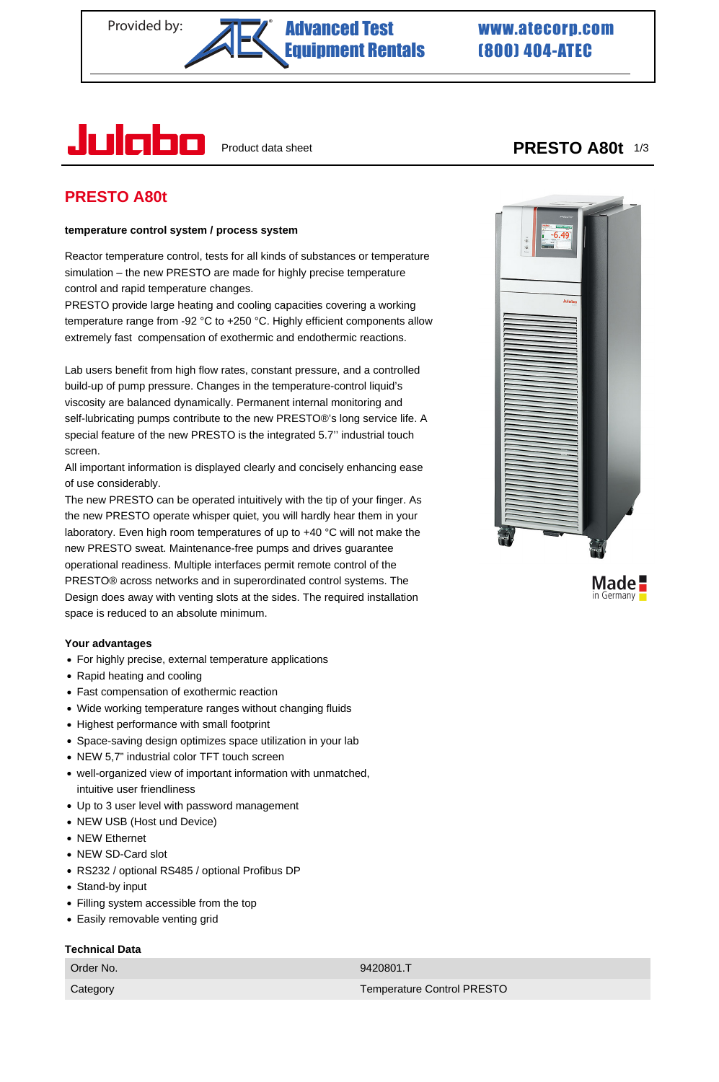## Provided by: **Advanced Test WWW.atecorp.com** [Equipment Rentals](https://www.atecorp.com/) ®

# (800) 404-ATEC



## **PRESTO A80t**

## **temperature control system / process system**

Reactor temperature control, tests for all kinds of substances or temperature simulation – the new PRESTO are made for highly precise temperature control and rapid temperature changes.

PRESTO provide large heating and cooling capacities covering a working temperature range from -92 °C to +250 °C. Highly efficient components allow extremely fast compensation of exothermic and endothermic reactions.

Lab users benefit from high flow rates, constant pressure, and a controlled build-up of pump pressure. Changes in the temperature-control liquid's viscosity are balanced dynamically. Permanent internal monitoring and self-lubricating pumps contribute to the new PRESTO®'s long service life. A special feature of the new PRESTO is the integrated 5.7'' industrial touch screen.

All important information is displayed clearly and concisely enhancing ease of use considerably.

The new PRESTO can be operated intuitively with the tip of your finger. As the new PRESTO operate whisper quiet, you will hardly hear them in your laboratory. Even high room temperatures of up to +40 °C will not make the new PRESTO sweat. Maintenance-free pumps and drives guarantee operational readiness. Multiple interfaces permit remote control of the PRESTO® across networks and in superordinated control systems. The Design does away with venting slots at the sides. The required installation space is reduced to an absolute minimum.

## **Your advantages**

- For highly precise, external temperature applications
- Rapid heating and cooling
- Fast compensation of exothermic reaction
- Wide working temperature ranges without changing fluids
- Highest performance with small footprint
- Space-saving design optimizes space utilization in your lab
- NEW 5,7" industrial color TFT touch screen
- well-organized view of important information with unmatched, intuitive user friendliness
- Up to 3 user level with password management
- NEW USB (Host und Device)
- NEW Ethernet
- NEW SD-Card slot
- RS232 / optional RS485 / optional Profibus DP
- Stand-by input
- Filling system accessible from the top
- Easily removable venting grid

## **Technical Data**

Order No. 66 (1992) 2008 12:00:00 12:00:00 12:00:00 12:00:00 12:00:00 12:00:00 12:00:00 12:00:00 12:00:00 12:0



Made in Germany

Category Temperature Control PRESTO

## Product data sheet **PRESTO A80t** 1/3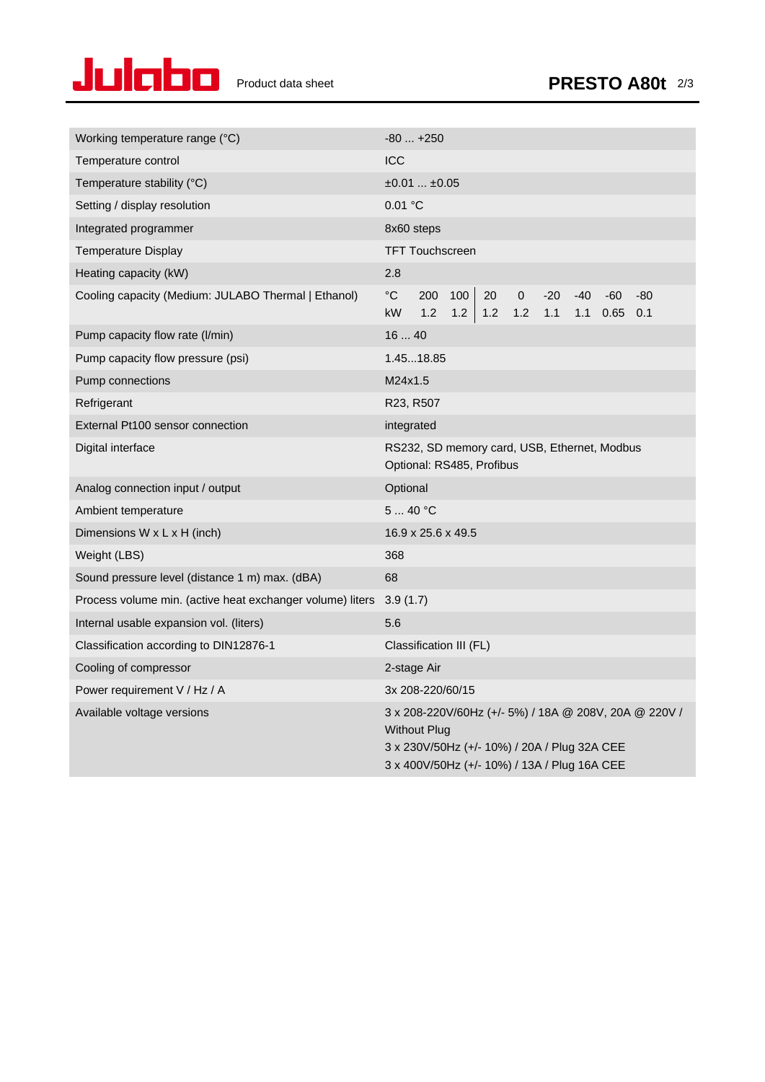

| Working temperature range (°C)                            | $-80+250$                                                                                                                                                                    |  |
|-----------------------------------------------------------|------------------------------------------------------------------------------------------------------------------------------------------------------------------------------|--|
| Temperature control                                       | <b>ICC</b>                                                                                                                                                                   |  |
| Temperature stability (°C)                                | ±0.01±0.05                                                                                                                                                                   |  |
| Setting / display resolution                              | 0.01 °C                                                                                                                                                                      |  |
| Integrated programmer                                     | 8x60 steps                                                                                                                                                                   |  |
| <b>Temperature Display</b>                                | <b>TFT Touchscreen</b>                                                                                                                                                       |  |
| Heating capacity (kW)                                     | 2.8                                                                                                                                                                          |  |
| Cooling capacity (Medium: JULABO Thermal   Ethanol)       | $^{\circ}C$<br>100<br>200<br>20<br>$\mathbf 0$<br>$-20$<br>$-40$<br>$-60$<br>$-80$<br>1.2<br>$1.2$   1.2<br>$1.2$<br>1.1<br>kW<br>1.1<br>0.65<br>0.1                         |  |
| Pump capacity flow rate (I/min)                           | 1640                                                                                                                                                                         |  |
| Pump capacity flow pressure (psi)                         | 1.4518.85                                                                                                                                                                    |  |
| Pump connections                                          | M24x1.5                                                                                                                                                                      |  |
| Refrigerant                                               | R23, R507                                                                                                                                                                    |  |
| External Pt100 sensor connection                          | integrated                                                                                                                                                                   |  |
| Digital interface                                         | RS232, SD memory card, USB, Ethernet, Modbus<br>Optional: RS485, Profibus                                                                                                    |  |
| Analog connection input / output                          | Optional                                                                                                                                                                     |  |
| Ambient temperature                                       | 540 °C                                                                                                                                                                       |  |
| Dimensions W x L x H (inch)                               | 16.9 x 25.6 x 49.5                                                                                                                                                           |  |
| Weight (LBS)                                              | 368                                                                                                                                                                          |  |
| Sound pressure level (distance 1 m) max. (dBA)            | 68                                                                                                                                                                           |  |
| Process volume min. (active heat exchanger volume) liters | 3.9(1.7)                                                                                                                                                                     |  |
| Internal usable expansion vol. (liters)                   | 5.6                                                                                                                                                                          |  |
| Classification according to DIN12876-1                    | Classification III (FL)                                                                                                                                                      |  |
| Cooling of compressor                                     | 2-stage Air                                                                                                                                                                  |  |
| Power requirement V / Hz / A                              | 3x 208-220/60/15                                                                                                                                                             |  |
| Available voltage versions                                | 3 x 208-220V/60Hz (+/- 5%) / 18A @ 208V, 20A @ 220V /<br><b>Without Plug</b><br>3 x 230V/50Hz (+/- 10%) / 20A / Plug 32A CEE<br>3 x 400V/50Hz (+/- 10%) / 13A / Plug 16A CEE |  |